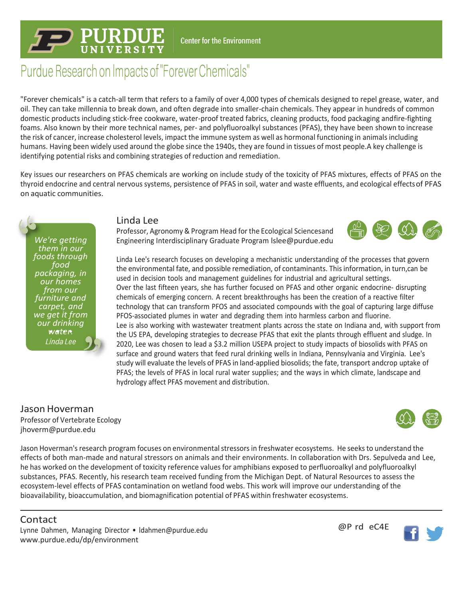## **Center for the Environment**

# Purdue Research on Impacts of "Forever Chemicals"

"Forever chemicals" is a catch-all term that refers to a family of over 4,000 types of chemicals designed to repel grease, water, and oil. They can take millennia to break down, and often degrade into smaller-chain chemicals. They appear in hundreds of common domestic products including stick-free cookware, water-proof treated fabrics, cleaning products, food packaging andfire-fighting foams. Also known by their more technical names, per- and polyfluoroalkyl substances (PFAS), they have been shown to increase the risk of cancer, increase cholesterol levels, impact the immune system as well as hormonal functioning in animalsincluding humans. Having been widely used around the globe since the 1940s, they are found in tissues of most people.A key challenge is identifying potential risks and combining strategies of reduction and remediation.

Key issues our researchers on PFAS chemicals are working on include study of the toxicity of PFAS mixtures, effects of PFAS on the thyroid endocrine and central nervous systems, persistence of PFAS in soil, water and waste effluents, and ecological effectsof PFAS on aquatic communities.

*We're getting them in our foods through food packaging, in our homes from our furniture and carpet, and we get it from our drinking water.*Linda Lee

### Linda Lee

Professor, Agronomy & Program Head for the Ecological Sciencesand Engineering Interdisciplinary Graduate Program [lslee@purdue.edu](mailto:lslee@purdue.edu)



Linda Lee's research focuses on developing a mechanistic understanding of the processes that govern the environmental fate, and possible remediation, of contaminants. Thisinformation, in turn,can be used in decision tools and management guidelines for industrial and agricultural settings. Over the last fifteen years, she has further focused on PFAS and other organic endocrine- disrupting chemicals of emerging concern. A recent breakthroughs has been the creation of a reactive filter technology that can transform PFOS and associated compounds with the goal of capturing large diffuse PFOS-associated plumes in water and degrading them into harmless carbon and fluorine. Lee is also working with wastewater treatment plants across the state on Indiana and, with support from the US EPA, developing strategies to decrease PFAS that exit the plants through effluent and sludge. In 2020, Lee was chosen to lead a \$3.2 million USEPA project to study impacts of biosolids with PFAS on surface and ground waters that feed rural drinking wells in Indiana, Pennsylvania and Virginia. Lee's study will evaluate the levels of PFAS in land-applied biosolids; the fate, transport andcrop uptake of PFAS; the levels of PFAS in local rural water supplies; and the ways in which climate, landscape and hydrology affect PFAS movement and distribution.

## Jason Hoverman

Professor of Vertebrate Ecology [jhoverm@purdue.edu](mailto:jhoverm@purdue.edu)



Jason Hoverman's research program focuses on environmental stressors in freshwater ecosystems. He seeks to understand the effects of both man-made and natural stressors on animals and their environments. In collaboration with Drs. Sepulveda and Lee, he has worked on the development of toxicity reference values for amphibians exposed to perfluoroalkyl and polyfluoroalkyl substances, PFAS. Recently, his research team received funding from the Michigan Dept. of Natural Resources to assess the ecosystem-level effects of PFAS contamination on wetland food webs. This work will improve our understanding of the bioavailability, bioaccumulation, and biomagnification potential of PFAS within freshwater ecosystems.

# Contact

Lynne Dahmen, Managing Director • [ldahmen@purdue.edu](mailto:ldahmen@purdue.edu) [www.purdue.edu/dp/environment](http://www.purdue.edu/dp/environment)

@P rd eC4E